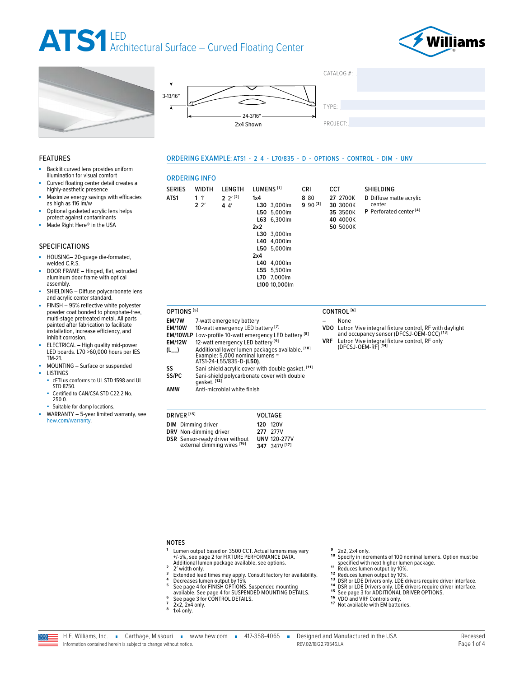## ATS1LED<br>Architectural Surface - Curved Floating Center

**ORDERING INFO** 

**WIDTH** 

 $1<sup>'</sup>$ 

 $2<sup>2</sup>$ 

LENGTH

 $2 \frac{2^{1}[2]}{2}$ 

 $44'$ 

**SERIES** 

ATS1







ORDERING EXAMPLE: ATS1 - 2 4 - L70/835 - D - OPTIONS - CONTROL - DIM - UNV

CRI

8 80

 $990^{[3]}$ 

**CCT** 

27 2700K

30 3000K

35 3500K



## **FEATURES**

- Backlit curved lens provides uniform illumination for visual comfort
- Curved floating center detail creates a highly-aesthetic presence
- Maximize energy savings with efficacies as high as 116 lm/w
- Optional gasketed acrylic lens helps protect against contaminants
- Made Right Here® in the USA

## **SPECIFICATIONS**

- HOUSING-20-guage die-formated, welded C.R.S.
- DOOR FRAME Hinged, flat, extruded aluminum door frame with optical assembly.
- SHIELDING Diffuse polycarbonate lens and acrylic center standard.
- FINISH 95% reflective white polyester powder coat bonded to phosphate-free, multi-stage pretreated metal. All parts painted after fabrication to facilitate installation, increase efficiency, and inhibit corrosion.
- ELECTRICAL High quality mid-power LED boards. L70 >60,000 hours per IES TM-21.
- MOUNTING Surface or suspended **LISTINGS**
- cETLus conforms to UL STD 1598 and UL STD 8750.
- Certified to CAN/CSA STD C22.2 No. 250.0
- Suitable for damp locations.
- WARRANTY 5-year limited warranty, see hew.com/warranty.

L63 6.300lm 40 4000K  $2x2$ **50 5000K** L30 3,000lm L40 4,000lm L50 5,000lm  $2x4$ L40 4,000lm L55 5,500lm L70 7,000lm L100 10,000lm OPTIONS<sup>[5]</sup> CONTROL<sup>[6]</sup> EM/7W 7-watt emergency battery None 10-watt emergency LED battery<sup>[7]</sup> **FM/10W VDO** EM/10WLP Low-profile 10-watt emergency LED battery [8] **VRF EM/12W** 12-watt emergency LED battery<sup>[9]</sup> Additional lower lumen packages available. <sup>[10]</sup><br>Example: 5,000 nominal lumens =<br>ATS1-24-L55/835-D-**(L50)**.  $(L_{--})$ Sani-shield acrylic cover with double gasket. [11] SS SS/PC Sani-shield polycarbonate cover with double<br>gasket.<sup>[12]</sup> **AMW** Anti-microbial white finish

VOLTAGE

120 120V

**277** 277V

**UNV 120-277V** 347 347V [17]

LUMENS<sup>[1]</sup>

L30 3,000lm

L50 5,000lm

 $1x4$ 

- Lutron Vive integral fixture control, RF with daylight and occupancy sensor (DFCSJ-OEM-OCC)<sup>[13]</sup>
- Lutron Vive integral fixture control, RF only<br>(DFCSJ-OEM-RF) <sup>[14]</sup>

SHIELDING

center

D Diffuse matte acrylic

P Perforated center<sup>[4]</sup>

#### **NOTES**

DRIVER<sup>[15]</sup>

**DIM** Dimming driver

DRV Non-dimming driver

**DSR** Sensor-ready driver without<br>external dimming wires [16]

- Lumen output based on 3500 CCT. Actual lumens may vary +/-5%, see page 2 for FIXTURE PERFORMANCE DATA. Additional lumen package available, see options.
- $\overline{2}$ 2' width only.
- Extended lead times may apply. Consult factory for availability.<br>Decreases lumen output by 15%
- 5 See page 4 for FINISH OPTIONS. Suspended mounting
- available. See page 4 for SUSPENDED MOUNTING DETAILS.<br>See page 3 for CONTROL DETAILS. 6
	-
- $2x2, 2x4$  only.



specified with next higher lumen package.

 $10$ 

2x2, 2x4 only.

- Reduces lumen output by 10%.  $12$
- 
- 12 Reduces lumen output by 10%.<br>
13 DSR or LDE Drivers only. LDE drivers require driver interface.<br>
14 DSR or LDE Drivers only. LDE drivers require driver interface.

Specify in increments of 100 nominal lumens. Option must be

- $\frac{1}{15}$
- <sup>15</sup> See page 3 for ADDITIONAL DRIVER OPTIONS.<br><sup>16</sup> VDO and VRF Controls only.
- 
- <sup>17</sup> Not available with EM batteries

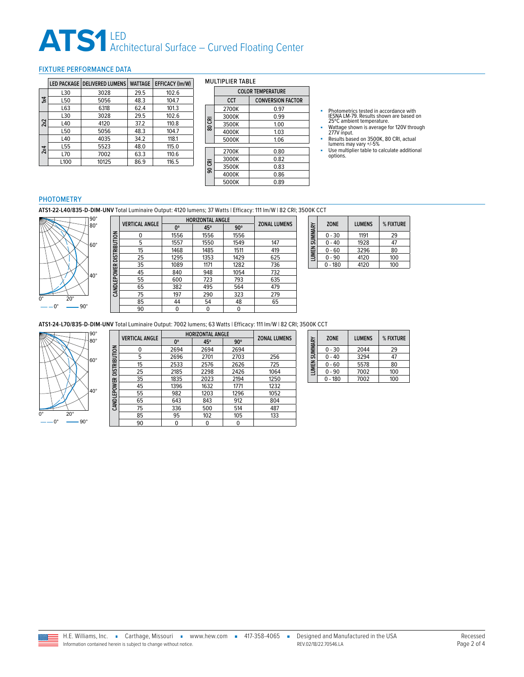## ATS1 LED<br>Architectural Surface – Curved Floating Center

## <span id="page-1-0"></span>FIXTURE PERFORMANCE DATA

|              |                 | LED PACKAGE   DELIVERED LUMENS | <b>WATTAGE</b> | <b>EFFICACY (Im/W)</b> |
|--------------|-----------------|--------------------------------|----------------|------------------------|
|              | L30             | 3028                           | 29.5           | 102.6                  |
| $\mathbf{x}$ | L50             | 5056                           | 48.3           | 104.7                  |
|              | L63             | 6318                           | 62.4           | 101.3                  |
|              | L30             | 3028                           | 29.5           | 102.6                  |
| 2x2          | L40             | 4120                           | 37.2           | 110.8                  |
|              | L50             | 5056                           | 48.3           | 104.7                  |
|              | L <sub>40</sub> | 4035                           | 34.2           | 118.1                  |
| 2x4          | L <sub>55</sub> | 5523                           | 48.0           | 115.0                  |
|              | L70             | 7002                           | 63.3           | 110.6                  |
|              | L100            | 10125                          | 86.9           | 116.5                  |

#### MULTIPLIER TABLE

|        |       | <b>COLOR TEMPERATURE</b> |
|--------|-------|--------------------------|
|        | CCT   | <b>CONVERSION FACTOR</b> |
|        | 2700K | 0.97                     |
|        | 3000K | 0.99                     |
| 80 CRI | 3500K | 1.00                     |
|        | 4000K | 1.03                     |
|        | 5000K | 1.06                     |
|        | 2700K | 0.80                     |
|        | 3000K | 0.82                     |
| 90 CRI | 3500K | 0.83                     |
|        | 4000K | 0.86                     |
|        | 5000K | 0.89                     |

- Photometrics tested in accordance with<br>IESNA LM-79. Results shown are based on<br>25℃ ambient temperature.<br>■ Wattage shown is average for 120V through<br>277V input.
- 
- Results based on 3500K, 80 CRI, actual lumens may vary +/-5%
- Use multiplier table to calculate additional options.

#### PHOTOMETRY

**ATS1-22-L40/835-D-DIM-UNV** Total Luminaire Output: 4120 lumens; 37 Watts | Efficacy: 111 lm/W | 82 CRI; 3500K CCT



|                          | <b>VERTICAL ANGLE</b> | <b>HORIZONTAL ANGLE</b> |      |            |                     |
|--------------------------|-----------------------|-------------------------|------|------------|---------------------|
|                          |                       | 0°                      | 45°  | $90^\circ$ | <b>ZONAL LUMENS</b> |
|                          | 0                     | 1556                    | 1556 | 1556       |                     |
|                          | 5                     | 1557                    | 1550 | 1549       | 147                 |
|                          | 15                    | 1468                    | 1485 | 1511       | 419                 |
|                          | 25                    | 1295                    | 1353 | 1429       | 625                 |
|                          | 35                    | 1089                    | 1171 | 1282       | 736                 |
|                          | 45                    | 840                     | 948  | 1054       | 732                 |
| CANDLEPOWER DISTRIBUTION | 55                    | 600                     | 723  | 793        | 635                 |
|                          | 65                    | 382                     | 495  | 564        | 479                 |
|                          | 75                    | 197                     | 290  | 323        | 279                 |
|                          | 85                    | 44                      | 54   | 48         | 65                  |
|                          | 90                    | 0                       | 0    | 0          |                     |

| LUMEN SUMMARY | <b>ZONE</b> | <b>LUMENS</b> | % FIXTURE |
|---------------|-------------|---------------|-----------|
|               | $0 - 30$    | 1191          | 29        |
|               | $0 - 40$    | 1928          | 47        |
|               | $0 - 60$    | 3296          | 80        |
|               | $0 - 90$    | 4120          | 100       |
|               | $-180$      | 4120          | 100       |

**ATS1-24-L70/835-D-DIM-UNV** Total Luminaire Output: 7002 lumens; 63 Watts | Efficacy: 111 lm/W | 82 CRI; 3500K CCT



|                     | <b>VERTICAL ANGLE</b> | <b>HORIZONTAL ANGLE</b> |      |            | <b>ZONAL LUMENS</b> |
|---------------------|-----------------------|-------------------------|------|------------|---------------------|
|                     |                       | 0°                      | 45°  | $90^\circ$ |                     |
| <b>DISTRIBUTION</b> | 0                     | 2694                    | 2694 | 2694       |                     |
|                     | 5                     | 2696                    | 2701 | 2703       | 256                 |
|                     | 15                    | 2533                    | 2576 | 2626       | 725                 |
|                     | 25                    | 2185                    | 2298 | 2426       | 1064                |
|                     | 35                    | 1835                    | 2023 | 2194       | 1250                |
|                     | 45                    | 1396                    | 1632 | 1771       | 1232                |
| CANDLEPOWER         | 55                    | 982                     | 1203 | 1296       | 1052                |
|                     | 65                    | 643                     | 843  | 912        | 804                 |
|                     | 75                    | 336                     | 500  | 514        | 487                 |
|                     | 85                    | 95                      | 102  | 105        | 133                 |
|                     | 90                    | 0                       |      |            |                     |

| <b>LUMEN SUMMARY</b> | <b>ZONE</b> | <b>LUMENS</b> | % FIXTURE |
|----------------------|-------------|---------------|-----------|
|                      | $0 - 30$    | 2044          | 29        |
|                      | $0 - 40$    | 3294          | 47        |
|                      | $0 - 60$    | 5578          | 80        |
|                      | $0 - 90$    | 7002          | 100       |
|                      | $0 - 180$   | 7002          | 100       |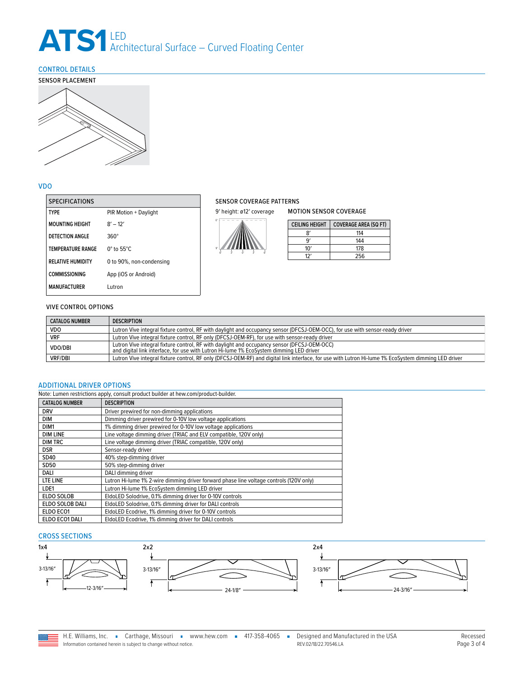## ATS1 LED<br>Architectural Surface – Curved Floating Center

## <span id="page-2-0"></span>CONTROL DETAILS



## VDO

| <b>SPECIFICATIONS</b>    |                             |
|--------------------------|-----------------------------|
| <b>TYPF</b>              | PIR Motion + Daylight       |
| <b>MOUNTING HEIGHT</b>   | $8' - 12'$                  |
| DETECTION ANGLE          | $360^\circ$                 |
| <b>TEMPERATURE RANGE</b> | $0^\circ$ to 55 $^\circ$ C. |
| <b>RELATIVE HUMIDITY</b> | 0 to 90%, non-condensing    |
| <b>COMMISSIONING</b>     | App (iOS or Android)        |
| <b>MANUFACTURER</b>      | Lutron                      |

## SENSOR COVERAGE PATTERNS

9' height: ø12' coverage



| <b>CEILING HEIGHT</b> | <b>COVERAGE AREA (SQ FT)</b> |
|-----------------------|------------------------------|
| g,                    | 114                          |
| ۹ŕ                    | 144                          |
| 10'                   | 178                          |
| 17′                   | 256                          |

MOTION SENSOR COVERAGE

## VIVE CONTROL OPTIONS

| <b>CATALOG NUMBER</b> | <b>DESCRIPTION</b>                                                                                                                                                                     |
|-----------------------|----------------------------------------------------------------------------------------------------------------------------------------------------------------------------------------|
| VDO                   | Lutron Vive integral fixture control, RF with daylight and occupancy sensor (DFCSJ-OEM-OCC), for use with sensor-ready driver                                                          |
| <b>VRF</b>            | Lutron Vive integral fixture control, RF only (DFCSJ-OEM-RF), for use with sensor-ready driver                                                                                         |
| VDO/DBI               | Lutron Vive integral fixture control, RF with daylight and occupancy sensor (DFCSJ-OEM-OCC)<br>and digital link interface, for use with Lutron Hi-lume 1% EcoSystem dimming LED driver |
| <b>VRF/DBI</b>        | Lutron Vive integral fixture control, RF only (DFCSJ-OEM-RF) and digital link interface, for use with Lutron Hi-lume 1% EcoSystem dimming LED driver                                   |

## <span id="page-2-1"></span>ADDITIONAL DRIVER OPTIONS

| Note: Lumen restrictions apply, consult product builder at hew.com/product-builder. |                                                                                         |  |  |
|-------------------------------------------------------------------------------------|-----------------------------------------------------------------------------------------|--|--|
| <b>CATALOG NUMBER</b>                                                               | <b>DESCRIPTION</b>                                                                      |  |  |
| <b>DRV</b>                                                                          | Driver prewired for non-dimming applications                                            |  |  |
| <b>DIM</b>                                                                          | Dimming driver prewired for 0-10V low voltage applications                              |  |  |
| DIM <sub>1</sub>                                                                    | 1% dimming driver prewired for 0-10V low voltage applications                           |  |  |
| <b>DIM LINE</b>                                                                     | Line voltage dimming driver (TRIAC and ELV compatible, 120V only)                       |  |  |
| <b>DIM TRC</b>                                                                      | Line voltage dimming driver (TRIAC compatible, 120V only)                               |  |  |
| <b>DSR</b>                                                                          | Sensor-ready driver                                                                     |  |  |
| SD40                                                                                | 40% step-dimming driver                                                                 |  |  |
| SD50                                                                                | 50% step-dimming driver                                                                 |  |  |
| DALI                                                                                | DALI dimming driver                                                                     |  |  |
| LTE LINE                                                                            | Lutron Hi-lume 1% 2-wire dimming driver forward phase line voltage controls (120V only) |  |  |
| LDE1                                                                                | Lutron Hi-lume 1% EcoSystem dimming LED driver                                          |  |  |
| ELDO SOLOB                                                                          | EldoLED Solodrive, 0.1% dimming driver for 0-10V controls                               |  |  |
| ELDO SOLOB DALI                                                                     | EldoLED Solodrive, 0.1% dimming driver for DALI controls                                |  |  |
| ELDO ECO1                                                                           | EldoLED Ecodrive, 1% dimming driver for 0-10V controls                                  |  |  |
| ELDO ECO1 DALI                                                                      | EldoLED Ecodrive, 1% dimming driver for DALI controls                                   |  |  |

## CROSS SECTIONS



H.E. Williams, Inc. Garthage, Missouri www.hew.com 417-358-4065 Designed and Manufactured in the USA REV.02/18/22.70546.LA